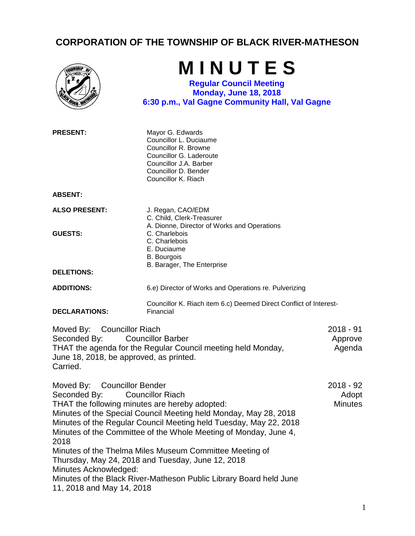## **CORPORATION OF THE TOWNSHIP OF BLACK RIVER-MATHESON**

|                                                                                                                                                                                               | MINUTES<br><b>Regular Council Meeting</b><br><b>Monday, June 18, 2018</b><br>6:30 p.m., Val Gagne Community Hall, Val Gagne                                                                                                                                                                                                                                                                                                |                                      |
|-----------------------------------------------------------------------------------------------------------------------------------------------------------------------------------------------|----------------------------------------------------------------------------------------------------------------------------------------------------------------------------------------------------------------------------------------------------------------------------------------------------------------------------------------------------------------------------------------------------------------------------|--------------------------------------|
| <b>PRESENT:</b>                                                                                                                                                                               | Mayor G. Edwards<br>Councillor L. Duciaume<br>Councillor R. Browne<br>Councillor G. Laderoute<br>Councillor J.A. Barber<br>Councillor D. Bender<br>Councillor K. Riach                                                                                                                                                                                                                                                     |                                      |
| <b>ABSENT:</b>                                                                                                                                                                                |                                                                                                                                                                                                                                                                                                                                                                                                                            |                                      |
| <b>ALSO PRESENT:</b>                                                                                                                                                                          | J. Regan, CAO/EDM<br>C. Child, Clerk-Treasurer<br>A. Dionne, Director of Works and Operations                                                                                                                                                                                                                                                                                                                              |                                      |
| <b>GUESTS:</b>                                                                                                                                                                                | C. Charlebois<br>C. Charlebois<br>E. Duciaume<br><b>B.</b> Bourgois                                                                                                                                                                                                                                                                                                                                                        |                                      |
| <b>DELETIONS:</b>                                                                                                                                                                             | B. Barager, The Enterprise                                                                                                                                                                                                                                                                                                                                                                                                 |                                      |
| <b>ADDITIONS:</b>                                                                                                                                                                             | 6.e) Director of Works and Operations re. Pulverizing                                                                                                                                                                                                                                                                                                                                                                      |                                      |
| <b>DECLARATIONS:</b>                                                                                                                                                                          | Councillor K. Riach item 6.c) Deemed Direct Conflict of Interest-<br>Financial                                                                                                                                                                                                                                                                                                                                             |                                      |
| Moved By: Councillor Riach<br>Seconded By:<br><b>Councillor Barber</b><br>THAT the agenda for the Regular Council meeting held Monday,<br>June 18, 2018, be approved, as printed.<br>Carried. |                                                                                                                                                                                                                                                                                                                                                                                                                            | $2018 - 91$<br>Approve<br>Agenda     |
| <b>Councillor Bender</b><br>Moved By:<br>Seconded By:<br>THAT the following minutes are hereby adopted:<br>2018<br>Minutes Acknowledged:<br>11, 2018 and May 14, 2018                         | <b>Councillor Riach</b><br>Minutes of the Special Council Meeting held Monday, May 28, 2018<br>Minutes of the Regular Council Meeting held Tuesday, May 22, 2018<br>Minutes of the Committee of the Whole Meeting of Monday, June 4,<br>Minutes of the Thelma Miles Museum Committee Meeting of<br>Thursday, May 24, 2018 and Tuesday, June 12, 2018<br>Minutes of the Black River-Matheson Public Library Board held June | 2018 - 92<br>Adopt<br><b>Minutes</b> |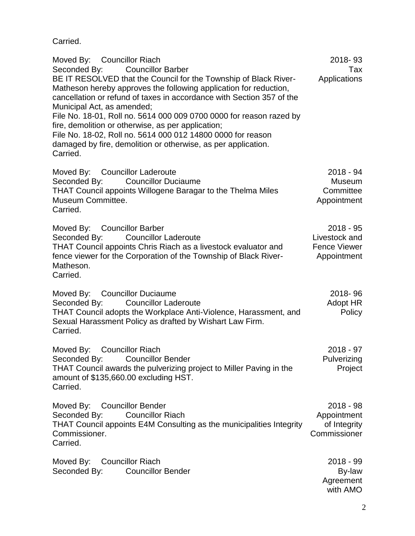Carried.

| Moved By: Councillor Riach<br>Seconded By: Councillor Barber<br>BE IT RESOLVED that the Council for the Township of Black River-<br>Matheson hereby approves the following application for reduction,<br>cancellation or refund of taxes in accordance with Section 357 of the<br>Municipal Act, as amended;<br>File No. 18-01, Roll no. 5614 000 009 0700 0000 for reason razed by<br>fire, demolition or otherwise, as per application;<br>File No. 18-02, Roll no. 5614 000 012 14800 0000 for reason<br>damaged by fire, demolition or otherwise, as per application.<br>Carried. | 2018-93<br>Tax<br>Applications                                     |
|---------------------------------------------------------------------------------------------------------------------------------------------------------------------------------------------------------------------------------------------------------------------------------------------------------------------------------------------------------------------------------------------------------------------------------------------------------------------------------------------------------------------------------------------------------------------------------------|--------------------------------------------------------------------|
| Moved By: Councillor Laderoute<br>Seconded By:<br><b>Councillor Duciaume</b><br><b>THAT Council appoints Willogene Baragar to the Thelma Miles</b><br>Museum Committee.<br>Carried.                                                                                                                                                                                                                                                                                                                                                                                                   | 2018 - 94<br>Museum<br>Committee<br>Appointment                    |
| Moved By: Councillor Barber<br>Seconded By: Councillor Laderoute<br>THAT Council appoints Chris Riach as a livestock evaluator and<br>fence viewer for the Corporation of the Township of Black River-<br>Matheson.<br>Carried.                                                                                                                                                                                                                                                                                                                                                       | $2018 - 95$<br>Livestock and<br><b>Fence Viewer</b><br>Appointment |
| Moved By: Councillor Duciaume<br>Seconded By: Councillor Laderoute<br>THAT Council adopts the Workplace Anti-Violence, Harassment, and<br>Sexual Harassment Policy as drafted by Wishart Law Firm.<br>Carried.                                                                                                                                                                                                                                                                                                                                                                        | 2018-96<br>Adopt HR<br>Policy                                      |
| Moved By: Councillor Riach<br>Seconded By: Councillor Bender<br>THAT Council awards the pulverizing project to Miller Paving in the<br>amount of \$135,660.00 excluding HST.<br>Carried.                                                                                                                                                                                                                                                                                                                                                                                              | $2018 - 97$<br>Pulverizing<br>Project                              |
| Moved By: Councillor Bender<br>Seconded By:<br><b>Councillor Riach</b><br>THAT Council appoints E4M Consulting as the municipalities Integrity<br>Commissioner.<br>Carried.                                                                                                                                                                                                                                                                                                                                                                                                           | $2018 - 98$<br>Appointment<br>of Integrity<br>Commissioner         |
| Moved By:<br>Councillor Riach<br>Seconded By:<br><b>Councillor Bender</b>                                                                                                                                                                                                                                                                                                                                                                                                                                                                                                             | $2018 - 99$<br>By-law<br>Agreement<br>with AMO                     |